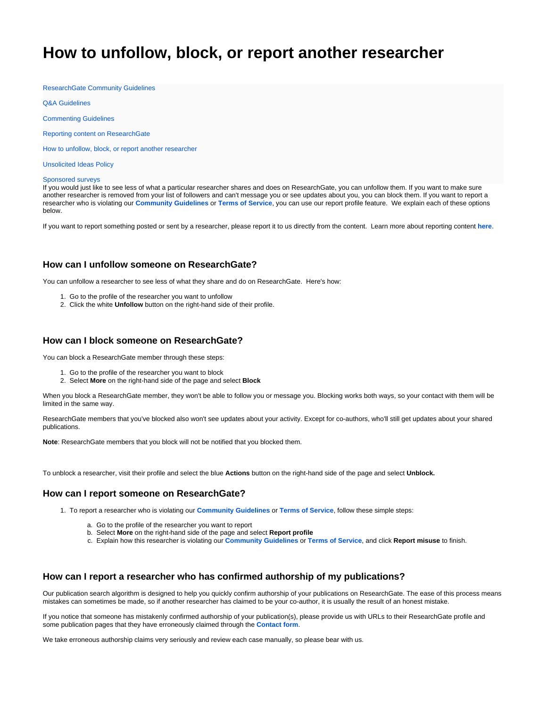# <span id="page-0-0"></span>**How to unfollow, block, or report another researcher**

[ResearchGate Community Guidelines](https://www.researchgate.net/community-guidelines)

[Q&A Guidelines](https://explore.researchgate.net/pages/viewpage.action?pageId=14155852)

[Commenting Guidelines](https://explore.researchgate.net/display/support/Commenting+Guidelines)

[Reporting content on ResearchGate](https://explore.researchgate.net/display/support/Reporting+content+on+ResearchGate)

[How to unfollow, block, or report another researcher](#page-0-0)

[Unsolicited Ideas Policy](https://www.researchgate.net/unsolicited-ideas-policy)

#### [Sponsored surveys](https://explore.researchgate.net/display/support/Sponsored+surveys+on+ResearchGate)

If you would just like to see less of what a particular researcher shares and does on ResearchGate, you can unfollow them. If you want to make sure another researcher is removed from your list of followers and can't message you or see updates about you, you can block them. If you want to report a researcher who is violating our **[Community Guidelines](https://www.researchgate.net/community-guidelines)** or **[Terms of Service](https://www.researchgate.net/terms-and-conditions)**, you can use our report profile feature. We explain each of these options below.

If you want to report something posted or sent by a researcher, please report it to us directly from the content. Learn more about reporting content **[here](https://explore.researchgate.net/display/support/Reporting+content+on+ResearchGate)**.

## **How can I unfollow someone on ResearchGate?**

You can unfollow a researcher to see less of what they share and do on ResearchGate. Here's how:

- 1. Go to the profile of the researcher you want to unfollow
- 2. Click the white **Unfollow** button on the right-hand side of their profile.

#### **How can I block someone on ResearchGate?**

You can block a ResearchGate member through these steps:

- 1. Go to the profile of the researcher you want to block
- 2. Select **More** on the right-hand side of the page and select **Block**

When you block a ResearchGate member, they won't be able to follow you or message you. Blocking works both ways, so your contact with them will be limited in the same way.

ResearchGate members that you've blocked also won't see updates about your activity. Except for co-authors, who'll still get updates about your shared publications.

**Note**: ResearchGate members that you block will not be notified that you blocked them.

To unblock a researcher, visit their profile and select the blue **Actions** button on the right-hand side of the page and select **Unblock.**

## **How can I report someone on ResearchGate?**

- 1. To report a researcher who is violating our **[Community Guidelines](https://www.researchgate.net/community-guidelines)** or **[Terms of Service](https://www.researchgate.net/terms-of-service)**, follow these simple steps:
	- a. Go to the profile of the researcher you want to report
	- b. Select **More** on the right-hand side of the page and select **Report profile**
	- c. Explain how this researcher is violating our **[Community Guidelines](https://www.researchgate.net/community-guidelines)** or **[Terms of Service](https://www.researchgate.net/terms-and-conditions)**, and click **Report misuse** to finish.

### **How can I report a researcher who has confirmed authorship of my publications?**

Our publication search algorithm is designed to help you quickly confirm authorship of your publications on ResearchGate. The ease of this process means mistakes can sometimes be made, so if another researcher has claimed to be your co-author, it is usually the result of an honest mistake.

If you notice that someone has mistakenly confirmed authorship of your publication(s), please provide us with URLs to their ResearchGate profile and some publication pages that they have erroneously claimed through the **[Contact form](https://www.researchgate.net/contact?type=contact_incorrect_author_claim)**.

We take erroneous authorship claims very seriously and review each case manually, so please bear with us.